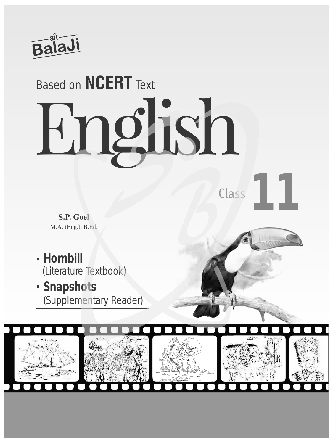

## English Based on **NCERT** Text

**S.P. Goel** M.A. (Eng.), B.Ed.

- **Hornbill**  (Literature Textbook)
- **Snapshots**  (Supplementary Reader)



Class**11**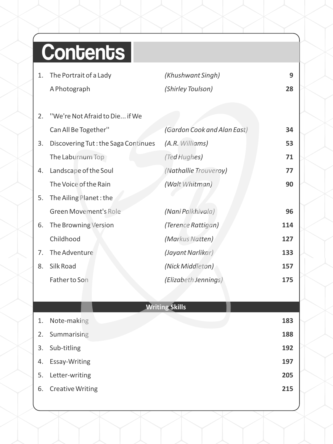## **Contents**

- 1. The Portrait of a Lady *(Khushwant Singh)* **9** A Photograph *(Shirley Toulson)* **28** 28
- 2. ''We're Not Afraid to Die... if We Can All Be Together'' *(Gardon Cook and Alan East)* **34** 3. Discovering Tut : the Saga Continues *(A.R. Williams)* **53** The Laburnum Top *(Ted Hughes)* 4. Landscape of the Soul *(Nathallie Trouveroy)* **77** The Voice of the Rain *(Walt Whitman)* **90** 5. The Ailing Planet : the Green Movement's Role *(Nani Palkhivala)* **96** 6. The Browning Version *(Terence Rattigan)* **114** Childhood *(Markus Natten)* **127** 7. The Adventure *(Jayant Narlikar)* **133** 8. Silk Road *(Nick Middleton)* **157** Father to Son *(Elizabeth Jennings)* **175** 34 53 71 77 90 96

|    | <b>Writing Skills</b>   |     |
|----|-------------------------|-----|
| 1. | Note-making             | 183 |
| 2. | Summarising             | 188 |
| 3. | Sub-titling             | 192 |
| 4. | Essay-Writing           | 197 |
| 5. | Letter-writing          | 205 |
| 6. | <b>Creative Writing</b> | 215 |
|    |                         |     |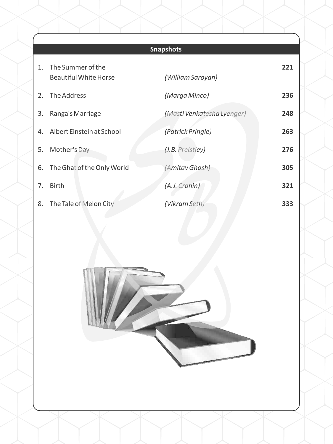## **Snapshots**

| $1_{-}$        | The Summer of the<br><b>Beautiful White Horse</b> | (William Saroyan)          | 221 |
|----------------|---------------------------------------------------|----------------------------|-----|
|                | 2. The Address                                    | (Marga Minco)              | 236 |
| 3.             | Ranga's Marriage                                  | (Masti Venkatesha Lyenger) | 248 |
| 4.             | Albert Einstein at School                         | (Patrick Pringle)          | 263 |
| 5.             | Mother's Day                                      | (J.B. Preistley)           | 276 |
|                | 6. The Ghat of the Only World                     | (Amitav Ghosh)             | 305 |
| 7 <sub>1</sub> | <b>Birth</b>                                      | (A.J. Cronin)              | 321 |
|                | 8. The Tale of Melon City                         | (Vikram Seth)              | 333 |

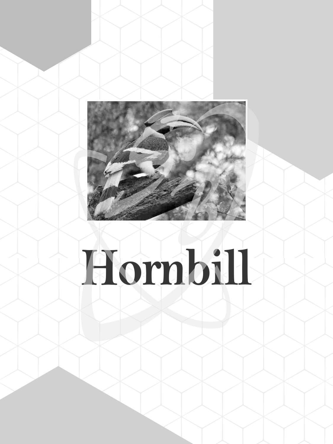

## **Hornbill**